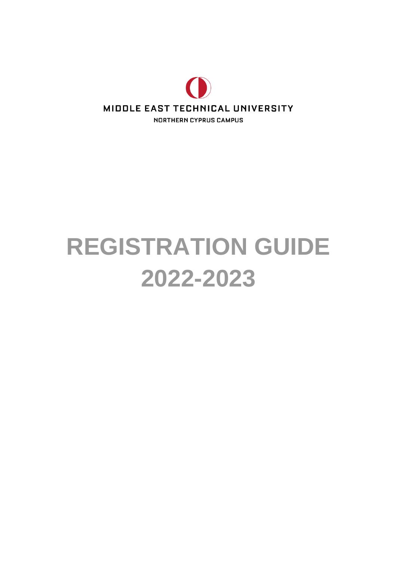

# **REGISTRATION GUIDE 2022-2023**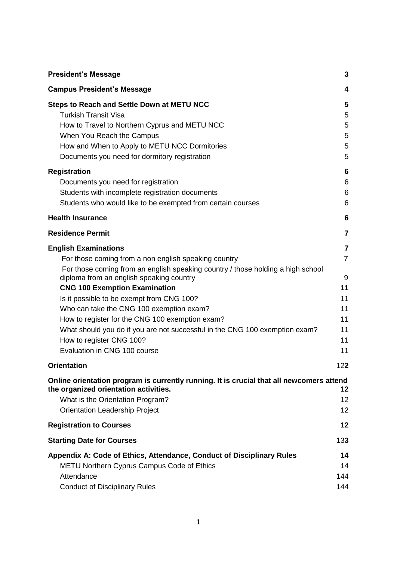| <b>President's Message</b>                                                                                                        | 3              |
|-----------------------------------------------------------------------------------------------------------------------------------|----------------|
| <b>Campus President's Message</b>                                                                                                 | 4              |
| <b>Steps to Reach and Settle Down at METU NCC</b>                                                                                 | 5              |
| <b>Turkish Transit Visa</b>                                                                                                       | 5              |
| How to Travel to Northern Cyprus and METU NCC                                                                                     | 5              |
| When You Reach the Campus                                                                                                         | 5              |
| How and When to Apply to METU NCC Dormitories                                                                                     | 5              |
| Documents you need for dormitory registration                                                                                     | 5              |
| <b>Registration</b>                                                                                                               | 6              |
| Documents you need for registration                                                                                               | 6              |
| Students with incomplete registration documents                                                                                   | 6              |
| Students who would like to be exempted from certain courses                                                                       | 6              |
| <b>Health Insurance</b>                                                                                                           | 6              |
| <b>Residence Permit</b>                                                                                                           | 7              |
| <b>English Examinations</b>                                                                                                       | $\overline{7}$ |
| For those coming from a non english speaking country                                                                              | $\overline{7}$ |
| For those coming from an english speaking country / those holding a high school<br>diploma from an english speaking country       | 9              |
| <b>CNG 100 Exemption Examination</b>                                                                                              | 11             |
| Is it possible to be exempt from CNG 100?                                                                                         | 11             |
| Who can take the CNG 100 exemption exam?                                                                                          | 11             |
| How to register for the CNG 100 exemption exam?                                                                                   | 11             |
| What should you do if you are not successful in the CNG 100 exemption exam?                                                       | 11             |
| How to register CNG 100?                                                                                                          | 11             |
| Evaluation in CNG 100 course                                                                                                      | 11             |
| <b>Orientation</b>                                                                                                                | 122            |
| Online orientation program is currently running. It is crucial that all newcomers attend<br>the organized orientation activities. | 12             |
| What is the Orientation Program?                                                                                                  | 12             |
| <b>Orientation Leadership Project</b>                                                                                             | 12             |
| <b>Registration to Courses</b>                                                                                                    | 12             |
| <b>Starting Date for Courses</b>                                                                                                  | 133            |
| Appendix A: Code of Ethics, Attendance, Conduct of Disciplinary Rules                                                             | 14             |
| <b>METU Northern Cyprus Campus Code of Ethics</b>                                                                                 | 14             |
| Attendance                                                                                                                        | 144            |
| <b>Conduct of Disciplinary Rules</b>                                                                                              | 144            |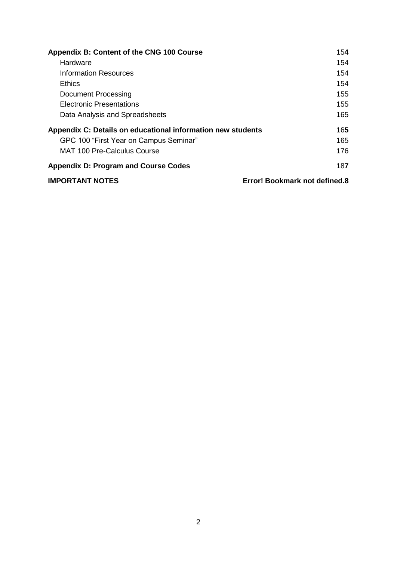| Appendix B: Content of the CNG 100 Course                   | 154                           |
|-------------------------------------------------------------|-------------------------------|
| Hardware                                                    | 154                           |
| Information Resources                                       | 154                           |
| Ethics                                                      | 154                           |
| Document Processing                                         | 155                           |
| <b>Electronic Presentations</b>                             | 155                           |
| Data Analysis and Spreadsheets                              | 165                           |
| Appendix C: Details on educational information new students | 165                           |
| GPC 100 "First Year on Campus Seminar"                      | 165                           |
| <b>MAT 100 Pre-Calculus Course</b>                          | 176                           |
| <b>Appendix D: Program and Course Codes</b>                 | 187                           |
| <b>IMPORTANT NOTES</b>                                      | Error! Bookmark not defined.8 |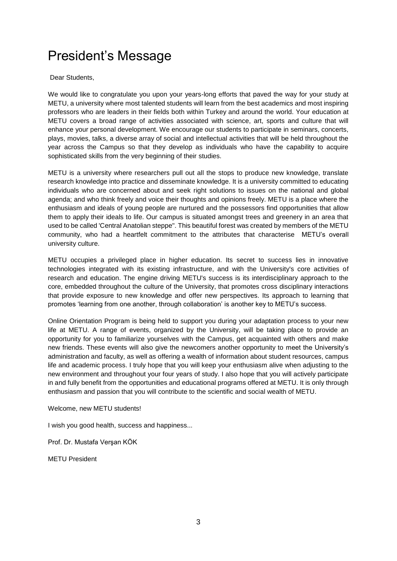# President's Message

Dear Students,

We would like to congratulate you upon your years-long efforts that paved the way for your study at METU, a university where most talented students will learn from the best academics and most inspiring professors who are leaders in their fields both within Turkey and around the world. Your education at METU covers a broad range of activities associated with science, art, sports and culture that will enhance your personal development. We encourage our students to participate in seminars, concerts, plays, movies, talks, a diverse array of social and intellectual activities that will be held throughout the year across the Campus so that they develop as individuals who have the capability to acquire sophisticated skills from the very beginning of their studies.

METU is a university where researchers pull out all the stops to produce new knowledge, translate research knowledge into practice and disseminate knowledge. It is a university committed to educating individuals who are concerned about and seek right solutions to issues on the national and global agenda; and who think freely and voice their thoughts and opinions freely. METU is a place where the enthusiasm and ideals of young people are nurtured and the possessors find opportunities that allow them to apply their ideals to life. Our campus is situated amongst trees and greenery in an area that used to be called 'Central Anatolian steppe". This beautiful forest was created by members of the METU community, who had a heartfelt commitment to the attributes that characterise METU's overall university culture.

METU occupies a privileged place in higher education. Its secret to success lies in innovative technologies integrated with its existing infrastructure, and with the University's core activities of research and education. The engine driving METU's success is its interdisciplinary approach to the core, embedded throughout the culture of the University, that promotes cross disciplinary interactions that provide exposure to new knowledge and offer new perspectives. Its approach to learning that promotes 'learning from one another, through collaboration' is another key to METU's success.

Online Orientation Program is being held to support you during your adaptation process to your new life at METU. A range of events, organized by the University, will be taking place to provide an opportunity for you to familiarize yourselves with the Campus, get acquainted with others and make new friends. These events will also give the newcomers another opportunity to meet the University's administration and faculty, as well as offering a wealth of information about student resources, campus life and academic process. I truly hope that you will keep your enthusiasm alive when adjusting to the new environment and throughout your four years of study. I also hope that you will actively participate in and fully benefit from the opportunities and educational programs offered at METU. It is only through enthusiasm and passion that you will contribute to the scientific and social wealth of METU.

Welcome, new METU students!

I wish you good health, success and happiness...

Prof. Dr. Mustafa Verşan KÖK

METU President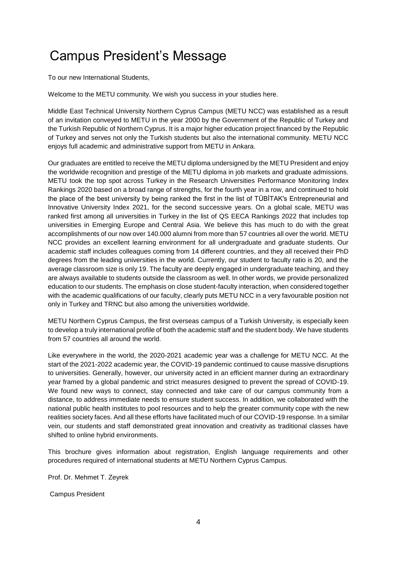# Campus President's Message

To our new International Students,

Welcome to the METU community. We wish you success in your studies here.

Middle East Technical University Northern Cyprus Campus (METU NCC) was established as a result of an invitation conveyed to METU in the year 2000 by the Government of the Republic of Turkey and the Turkish Republic of Northern Cyprus. It is a major higher education project financed by the Republic of Turkey and serves not only the Turkish students but also the international community. METU NCC enjoys full academic and administrative support from METU in Ankara.

Our graduates are entitled to receive the METU diploma undersigned by the METU President and enjoy the worldwide recognition and prestige of the METU diploma in job markets and graduate admissions. METU took the top spot across Turkey in the Research Universities Performance Monitoring Index Rankings 2020 based on a broad range of strengths, for the fourth year in a row, and continued to hold the place of the best university by being ranked the first in the list of TÜBİTAK's Entrepreneurial and Innovative University Index 2021, for the second successive years. On a global scale, METU was ranked first among all universities in Turkey in the list of QS EECA Rankings 2022 that includes top universities in Emerging Europe and Central Asia. We believe this has much to do with the great accomplishments of our now over 140.000 alumni from more than 57 countries all over the world. METU NCC provides an excellent learning environment for all undergraduate and graduate students. Our academic staff includes colleagues coming from 14 different countries, and they all received their PhD degrees from the leading universities in the world. Currently, our student to faculty ratio is 20, and the average classroom size is only 19. The faculty are deeply engaged in undergraduate teaching, and they are always available to students outside the classroom as well. In other words, we provide personalized education to our students. The emphasis on close student-faculty interaction, when considered together with the academic qualifications of our faculty, clearly puts METU NCC in a very favourable position not only in Turkey and TRNC but also among the universities worldwide.

METU Northern Cyprus Campus, the first overseas campus of a Turkish University, is especially keen to develop a truly international profile of both the academic staff and the student body. We have students from 57 countries all around the world.

Like everywhere in the world, the 2020-2021 academic year was a challenge for METU NCC. At the start of the 2021-2022 academic year, the COVID-19 pandemic continued to cause massive disruptions to universities. Generally, however, our university acted in an efficient manner during an extraordinary year framed by a global pandemic and strict measures designed to prevent the spread of COVID-19. We found new ways to connect, stay connected and take care of our campus community from a distance, to address immediate needs to ensure student success. In addition, we collaborated with the national public health institutes to pool resources and to help the greater community cope with the new realities society faces. And all these efforts have facilitated much of our COVID-19 response. In a similar vein, our students and staff demonstrated great innovation and creativity as traditional classes have shifted to online hybrid environments.

This brochure gives information about registration, English language requirements and other procedures required of international students at METU Northern Cyprus Campus.

Prof. Dr. Mehmet T. Zeyrek

Campus President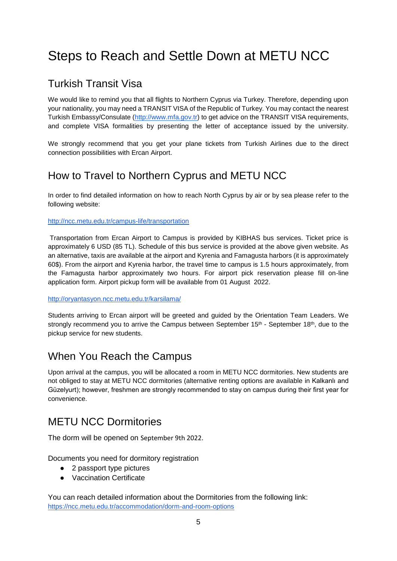# <span id="page-5-0"></span>Steps to Reach and Settle Down at METU NCC

### <span id="page-5-1"></span>Turkish Transit Visa

We would like to remind you that all flights to Northern Cyprus via Turkey. Therefore, depending upon your nationality, you may need a TRANSIT VISA of the Republic of Turkey. You may contact the nearest Turkish Embassy/Consulate [\(http://www.mfa.gov.tr\)](http://www.mfa.gov.tr/) to get advice on the TRANSIT VISA requirements, and complete VISA formalities by presenting the letter of acceptance issued by the university.

We strongly recommend that you get your plane tickets from Turkish Airlines due to the direct connection possibilities with Ercan Airport.

### <span id="page-5-2"></span>How to Travel to Northern Cyprus and METU NCC

In order to find detailed information on how to reach North Cyprus by air or by sea please refer to the following website:

#### <http://ncc.metu.edu.tr/campus-life/transportation>

Transportation from Ercan Airport to Campus is provided by KIBHAS bus services. Ticket price is approximately 6 USD (85 TL). Schedule of this bus service is provided at the above given website. As an alternative, taxis are available at the airport and Kyrenia and Famagusta harbors (it is approximately 60\$). From the airport and Kyrenia harbor, the travel time to campus is 1.5 hours approximately, from the Famagusta harbor approximately two hours. For airport pick reservation please fill on-line application form. Airport pickup form will be available from 01 August 2022.

#### <http://oryantasyon.ncc.metu.edu.tr/karsilama/>

Students arriving to Ercan airport will be greeted and guided by the Orientation Team Leaders. We strongly recommend you to arrive the Campus between September  $15<sup>th</sup>$  - September  $18<sup>th</sup>$ , due to the pickup service for new students.

### <span id="page-5-3"></span>When You Reach the Campus

Upon arrival at the campus, you will be allocated a room in METU NCC dormitories. New students are not obliged to stay at METU NCC dormitories (alternative renting options are available in Kalkanlı and Güzelyurt); however, freshmen are strongly recommended to stay on campus during their first year for convenience.

### <span id="page-5-4"></span>METU NCC Dormitories

The dorm will be opened on September 9th 2022.

Documents you need for dormitory registration

- 2 passport type pictures
- Vaccination Certificate

You can reach detailed information about the Dormitories from the following link: <https://ncc.metu.edu.tr/accommodation/dorm-and-room-options>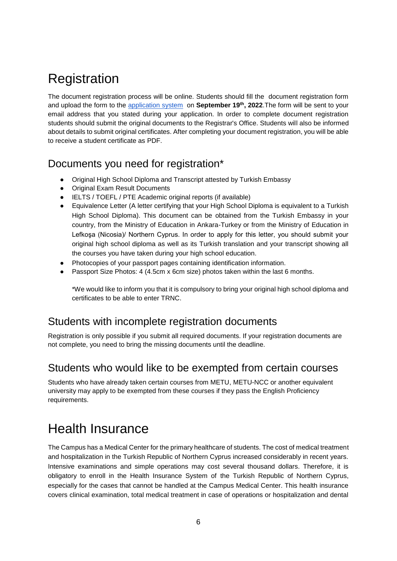# **Registration**

The document registration process will be online. Students should fill the document registration form and upload the form to the [application system](https://apply.ncc.metu.edu.tr/) on **September 19th, 2022**.The form will be sent to your email address that you stated during your application. In order to complete document registration students should submit the original documents to the Registrar's Office. Students will also be informed about details to submit original certificates. After completing your document registration, you will be able to receive a student certificate as PDF.

### <span id="page-6-0"></span>Documents you need for registration\*

- Original High School Diploma and Transcript attested by Turkish Embassy
- Original Exam Result Documents
- IELTS / TOEFL / PTE Academic original reports (if available)
- Equivalence Letter (A letter certifying that your High School Diploma is equivalent to a Turkish High School Diploma). This document can be obtained from the Turkish Embassy in your country, from the Ministry of Education in Ankara-Turkey or from the Ministry of Education in Lefkoşa (Nicosia)/ Northern Cyprus. In order to apply for this letter, you should submit your original high school diploma as well as its Turkish translation and your transcript showing all the courses you have taken during your high school education.
- Photocopies of your passport pages containing identification information.
- Passport Size Photos: 4 (4.5cm x 6cm size) photos taken within the last 6 months.

\*We would like to inform you that it is compulsory to bring your original high school diploma and certificates to be able to enter TRNC.

### Students with incomplete registration documents

Registration is only possible if you submit all required documents. If your registration documents are not complete, you need to bring the missing documents until the deadline.

### <span id="page-6-1"></span>Students who would like to be exempted from certain courses

Students who have already taken certain courses from METU, METU-NCC or another equivalent university may apply to be exempted from these courses if they pass the English Proficiency requirements.

# <span id="page-6-2"></span>Health Insurance

The Campus has a Medical Center for the primary healthcare of students. The cost of medical treatment and hospitalization in the Turkish Republic of Northern Cyprus increased considerably in recent years. Intensive examinations and simple operations may cost several thousand dollars. Therefore, it is obligatory to enroll in the Health Insurance System of the Turkish Republic of Northern Cyprus, especially for the cases that cannot be handled at the Campus Medical Center. This health insurance covers clinical examination, total medical treatment in case of operations or hospitalization and dental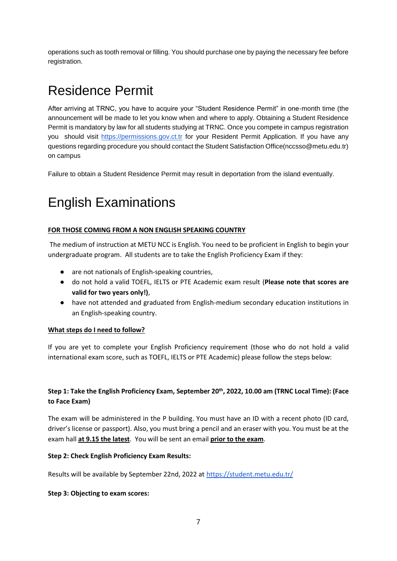operations such as tooth removal or filling. You should purchase one by paying the necessary fee before registration.

# <span id="page-7-0"></span>Residence Permit

After arriving at TRNC, you have to acquire your "Student Residence Permit" in one-month time (the announcement will be made to let you know when and where to apply. Obtaining a Student Residence Permit is mandatory by law for all students studying at TRNC. Once you compete in campus registration you should visit [https://permissions.gov.ct.tr](https://permissions.gov.ct.tr/signup) for your Resident Permit Application. If you have any questions regarding procedure you should contact the Student Satisfaction Office(nccsso@metu.edu.tr) on campus

<span id="page-7-1"></span>Failure to obtain a Student Residence Permit may result in deportation from the island eventually.

# English Examinations

#### <span id="page-7-2"></span>**FOR THOSE COMING FROM A NON ENGLISH SPEAKING COUNTRY**

The medium of instruction at METU NCC is English. You need to be proficient in English to begin your undergraduate program. All students are to take the English Proficiency Exam if they:

- are not nationals of English-speaking countries,
- do not hold a valid TOEFL, IELTS or PTE Academic exam result (**Please note that scores are valid for two years only!)**,
- have not attended and graduated from English-medium secondary education institutions in an English-speaking country.

#### **What steps do I need to follow?**

If you are yet to complete your English Proficiency requirement (those who do not hold a valid international exam score, such as TOEFL, IELTS or PTE Academic) please follow the steps below:

#### **Step 1: Take the English Proficiency Exam, September 20th, 2022, 10.00 am (TRNC Local Time): (Face to Face Exam)**

The exam will be administered in the P building. You must have an ID with a recent photo (ID card, driver's license or passport). Also, you must bring a pencil and an eraser with you. You must be at the exam hall **at 9.15 the latest**. You will be sent an email **prior to the exam**.

#### **Step 2: Check English Proficiency Exam Results:**

Results will be available by September 22nd, 2022 at <https://student.metu.edu.tr/>

#### **Step 3: Objecting to exam scores:**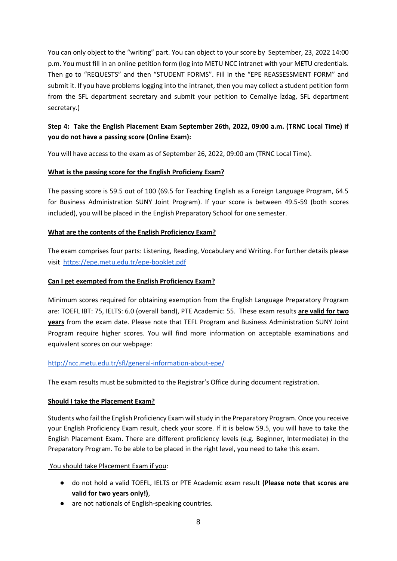You can only object to the "writing" part. You can object to your score by September, 23, 2022 14:00 p.m. You must fill in an online petition form (log into METU NCC intranet with your METU credentials. Then go to "REQUESTS" and then "STUDENT FORMS". Fill in the "EPE REASSESSMENT FORM" and submit it. If you have problems logging into the intranet, then you may collect a student petition form from the SFL department secretary and submit your petition to Cemaliye İzdag, SFL department secretary.)

#### **Step 4: Take the English Placement Exam September 26th, 2022, 09:00 a.m. (TRNC Local Time) if you do not have a passing score (Online Exam):**

You will have access to the exam as of September 26, 2022, 09:00 am (TRNC Local Time).

#### **What is the passing score for the English Proficieny Exam?**

The passing score is 59.5 out of 100 (69.5 for Teaching English as a Foreign Language Program, 64.5 for Business Administration SUNY Joint Program). If your score is between 49.5-59 (both scores included), you will be placed in the English Preparatory School for one semester.

#### **What are the contents of the English Proficiency Exam?**

The exam comprises four parts: Listening, Reading, Vocabulary and Writing. For further details please visit <https://epe.metu.edu.tr/epe-booklet.pdf>

#### **Can I get exempted from the English Proficiency Exam?**

Minimum scores required for obtaining exemption from the English Language Preparatory Program are: TOEFL IBT: 75, IELTS: 6.0 (overall band), PTE Academic: 55. These exam results **are valid for two years** from the exam date. Please note that TEFL Program and Business Administration SUNY Joint Program require higher scores. You will find more information on acceptable examinations and equivalent scores on our webpage:

#### <http://ncc.metu.edu.tr/sfl/general-information-about-epe/>

The exam results must be submitted to the Registrar's Office during document registration.

#### **Should I take the Placement Exam?**

Students who fail the English Proficiency Exam will study in the Preparatory Program. Once you receive your English Proficiency Exam result, check your score. If it is below 59.5, you will have to take the English Placement Exam. There are different proficiency levels (e.g. Beginner, Intermediate) in the Preparatory Program. To be able to be placed in the right level, you need to take this exam.

#### You should take Placement Exam if you:

- do not hold a valid TOEFL, IELTS or PTE Academic exam result **(Please note that scores are valid for two years only!)**,
- are not nationals of English-speaking countries.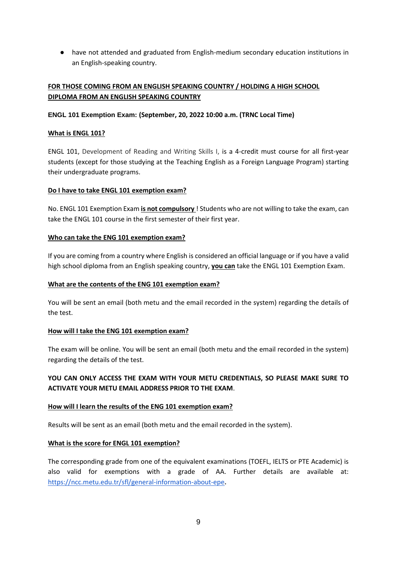● have not attended and graduated from English-medium secondary education institutions in an English-speaking country.

#### <span id="page-9-0"></span>**FOR THOSE COMING FROM AN ENGLISH SPEAKING COUNTRY / HOLDING A HIGH SCHOOL DIPLOMA FROM AN ENGLISH SPEAKING COUNTRY**

#### **ENGL 101 Exemption Exam: (September, 20, 2022 10:00 a.m. (TRNC Local Time)**

#### **What is ENGL 101?**

ENGL 101, Development of Reading and Writing Skills I, is a 4-credit must course for all first-year students (except for those studying at the Teaching English as a Foreign Language Program) starting their undergraduate programs.

#### **Do I have to take ENGL 101 exemption exam?**

No. ENGL 101 Exemption Exam **is not compulsory** ! Students who are not willing to take the exam, can take the ENGL 101 course in the first semester of their first year.

#### **Who can take the ENG 101 exemption exam?**

If you are coming from a country where English is considered an official language or if you have a valid high school diploma from an English speaking country, **you can** take the ENGL 101 Exemption Exam.

#### **What are the contents of the ENG 101 exemption exam?**

You will be sent an email (both metu and the email recorded in the system) regarding the details of the test.

#### **How will I take the ENG 101 exemption exam?**

The exam will be online. You will be sent an email (both metu and the email recorded in the system) regarding the details of the test.

#### **YOU CAN ONLY ACCESS THE EXAM WITH YOUR METU CREDENTIALS, SO PLEASE MAKE SURE TO ACTIVATE YOUR METU EMAIL ADDRESS PRIOR TO THE EXAM**.

#### **How will I learn the results of the ENG 101 exemption exam?**

Results will be sent as an email (both metu and the email recorded in the system).

#### **What is the score for ENGL 101 exemption?**

The corresponding grade from one of the equivalent examinations (TOEFL, IELTS or PTE Academic) is also valid for exemptions with a grade of AA. Further details are available at[:](https://ncc.metu.edu.tr/sfl/general-information-about-epe) <https://ncc.metu.edu.tr/sfl/general-information-about-epe>**.**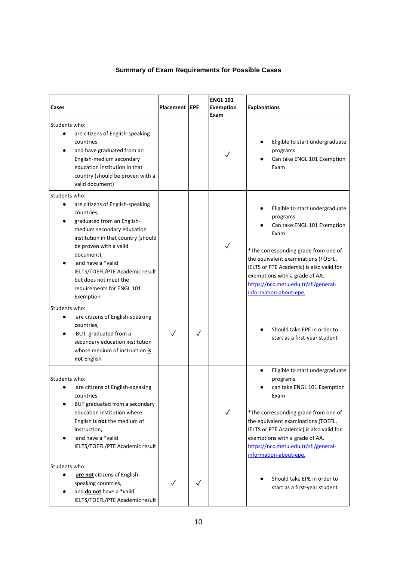#### **Summary of Exam Requirements for Possible Cases**

<span id="page-10-0"></span>

| Cases                                                                                                                                                                                                                                                                                                                                                               | Placement   EPE |              | <b>ENGL 101</b><br><b>Exemption</b><br>Exam | <b>Explanations</b>                                                                                                                                                                                                                                                                                               |
|---------------------------------------------------------------------------------------------------------------------------------------------------------------------------------------------------------------------------------------------------------------------------------------------------------------------------------------------------------------------|-----------------|--------------|---------------------------------------------|-------------------------------------------------------------------------------------------------------------------------------------------------------------------------------------------------------------------------------------------------------------------------------------------------------------------|
| Students who:<br>are citizens of English-speaking<br>$\bullet$<br>countries<br>and have graduated from an<br>English-medium secondary<br>education institution in that<br>country (should be proven with a<br>valid document)                                                                                                                                       |                 |              | ✓                                           | Eligible to start undergraduate<br>programs<br>Can take ENGL 101 Exemption<br>Exam                                                                                                                                                                                                                                |
| Students who:<br>are citizens of English-speaking<br>$\bullet$<br>countries,<br>graduated from an English-<br>medium secondary education<br>institution in that country (should<br>be proven with a valid<br>document),<br>and have a *valid<br>IELTS/TOEFL/PTE Academic result<br>but does not meet the<br>requirements for ENGL 101<br>Exemption<br>Students who: |                 |              | $\checkmark$                                | Eligible to start undergraduate<br>programs<br>Can take ENGL 101 Exemption<br>Exam<br>*The corresponding grade from one of<br>the equivalent examinations (TOEFL,<br>IELTS or PTE Academic) is also valid for<br>exemptions with a grade of AA.<br>https://ncc.metu.edu.tr/sfl/general-<br>information-about-epe. |
| are citizens of English-speaking<br>countries,<br>BUT graduated from a<br>secondary education institution<br>whose medium of instruction is<br>not English                                                                                                                                                                                                          |                 | $\checkmark$ |                                             | Should take EPE in order to<br>start as a first-year student                                                                                                                                                                                                                                                      |
| Students who:<br>are citizens of English-speaking<br>٠<br>countries<br>BUT graduated from a secondary<br>education institution where<br>English is not the medium of<br>instruction,<br>and have a *valid<br>IELTS/TOEFL/PTE Academic result                                                                                                                        |                 |              | $\checkmark$                                | Eligible to start undergraduate<br>programs<br>can take ENGL 101 Exemption<br>Exam<br>*The corresponding grade from one of<br>the equivalent examinations (TOEFL,<br>IELTS or PTE Academic) is also valid for<br>exemptions with a grade of AA.<br>https://ncc.metu.edu.tr/sfl/general-<br>information-about-epe. |
| Students who:<br>are not citizens of English-<br>speaking countries,<br>and <b>do not</b> have a *valid<br>IELTS/TOEFL/PTE Academic result                                                                                                                                                                                                                          | $\checkmark$    | $\checkmark$ |                                             | Should take EPE in order to<br>start as a first-year student                                                                                                                                                                                                                                                      |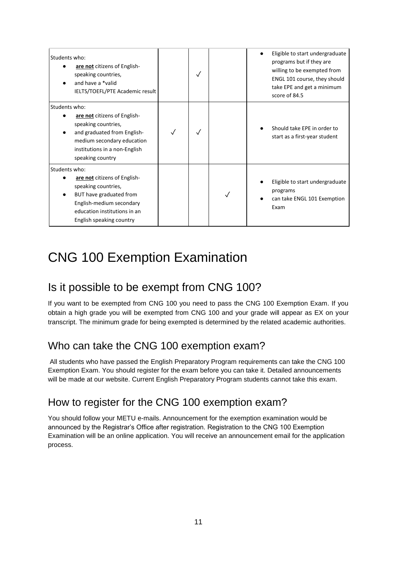| Students who:<br>are not citizens of English-<br>speaking countries,<br>and have a *valid<br>IELTS/TOEFL/PTE Academic result<br>score of 84.5 | Eligible to start undergraduate<br>programs but if they are<br>willing to be exempted from<br>ENGL 101 course, they should<br>take EPE and get a minimum |
|-----------------------------------------------------------------------------------------------------------------------------------------------|----------------------------------------------------------------------------------------------------------------------------------------------------------|
| Students who:<br>are not citizens of English-<br>speaking countries,                                                                          |                                                                                                                                                          |
| and graduated from English-<br>medium secondary education<br>institutions in a non-English<br>speaking country                                | Should take EPE in order to<br>start as a first-year student                                                                                             |
| Students who:                                                                                                                                 |                                                                                                                                                          |
| are not citizens of English-<br>speaking countries,                                                                                           | Eligible to start undergraduate                                                                                                                          |
| programs<br>BUT have graduated from                                                                                                           | can take ENGL 101 Exemption                                                                                                                              |
| English-medium secondary<br>Exam<br>education institutions in an                                                                              |                                                                                                                                                          |
| English speaking country                                                                                                                      |                                                                                                                                                          |

# CNG 100 Exemption Examination

### Is it possible to be exempt from CNG 100?

If you want to be exempted from CNG 100 you need to pass the CNG 100 Exemption Exam. If you obtain a high grade you will be exempted from CNG 100 and your grade will appear as EX on your transcript. The minimum grade for being exempted is determined by the related academic authorities.

### <span id="page-11-0"></span>Who can take the CNG 100 exemption exam?

All students who have passed the English Preparatory Program requirements can take the CNG 100 Exemption Exam. You should register for the exam before you can take it. Detailed announcements will be made at our website. Current English Preparatory Program students cannot take this exam.

### <span id="page-11-1"></span>How to register for the CNG 100 exemption exam?

You should follow your METU e-mails. Announcement for the exemption examination would be announced by the Registrar's Office after registration. Registration to the CNG 100 Exemption Examination will be an online application. You will receive an announcement email for the application process.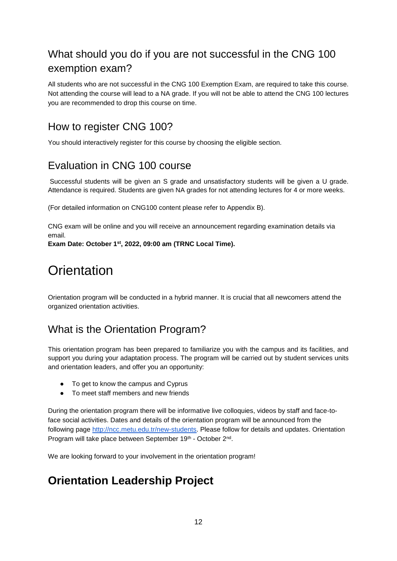### <span id="page-12-0"></span>What should you do if you are not successful in the CNG 100 exemption exam?

All students who are not successful in the CNG 100 Exemption Exam, are required to take this course. Not attending the course will lead to a NA grade. If you will not be able to attend the CNG 100 lectures you are recommended to drop this course on time.

### <span id="page-12-1"></span>How to register CNG 100?

<span id="page-12-2"></span>You should interactively register for this course by choosing the eligible section.

### Evaluation in CNG 100 course

Successful students will be given an S grade and unsatisfactory students will be given a U grade. Attendance is required. Students are given NA grades for not attending lectures for 4 or more weeks.

(For detailed information on CNG100 content please refer to Appendix B).

CNG exam will be online and you will receive an announcement regarding examination details via email.

<span id="page-12-3"></span>**Exam Date: October 1st, 2022, 09:00 am (TRNC Local Time).**

# **Orientation**

<span id="page-12-4"></span>Orientation program will be conducted in a hybrid manner. It is crucial that all newcomers attend the organized orientation activities.

### <span id="page-12-5"></span>What is the Orientation Program?

This orientation program has been prepared to familiarize you with the campus and its facilities, and support you during your adaptation process. The program will be carried out by student services units and orientation leaders, and offer you an opportunity:

- To get to know the campus and Cyprus
- To meet staff members and new friends

During the orientation program there will be informative live colloquies, videos by staff and face-toface social activities. Dates and details of the orientation program will be announced from the following page [http://ncc.metu.edu.tr/new-students.](http://ncc.metu.edu.tr/new-students) Please follo[w](http://ncc.metu.edu.tr/new-students) for details and updates. Orientation Program will take place between September 19th - October 2<sup>nd</sup>.

We are looking forward to your involvement in the orientation program!

### <span id="page-12-6"></span>**Orientation Leadership Project**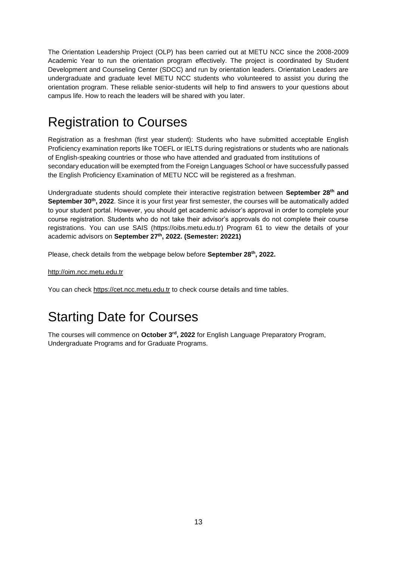The Orientation Leadership Project (OLP) has been carried out at METU NCC since the 2008-2009 Academic Year to run the orientation program effectively. The project is coordinated by Student Development and Counseling Center (SDCC) and run by orientation leaders. Orientation Leaders are undergraduate and graduate level METU NCC students who volunteered to assist you during the orientation program. These reliable senior-students will help to find answers to your questions about campus life. How to reach the leaders will be shared with you later.

## <span id="page-13-0"></span>Registration to Courses

Registration as a freshman (first year student): Students who have submitted acceptable English Proficiency examination reports like TOEFL or IELTS during registrations or students who are nationals of English-speaking countries or those who have attended and graduated from institutions of secondary education will be exempted from the Foreign Languages School or have successfully passed the English Proficiency Examination of METU NCC will be registered as a freshman.

Undergraduate students should complete their interactive registration between **September 28th and September 30th, 2022**. Since it is your first year first semester, the courses will be automatically added to your student portal. However, you should get academic advisor's approval in order to complete your course registration. Students who do not take their advisor's approvals do not complete their course registrations. You can use SAIS [\(https://oibs.metu.edu.tr\)](https://oibs.metu.edu.tr/) Program 61 to view the details of your academic advisors on **September 27th, 2022. (Semester: 20221)**

Please, check details from the webpage below before **September 28th, 2022.**

[http://oim.ncc.metu.edu.tr](http://oim.ncc.metu.edu.tr/)

<span id="page-13-1"></span>You can check [https://cet.ncc.metu.edu.tr](https://cet.ncc.metu.edu.tr/) to check course details and time tables.

# Starting Date for Courses

<span id="page-13-2"></span>The courses will commence on **October 3rd, 2022** for English Language Preparatory Program, Undergraduate Programs and for Graduate Programs.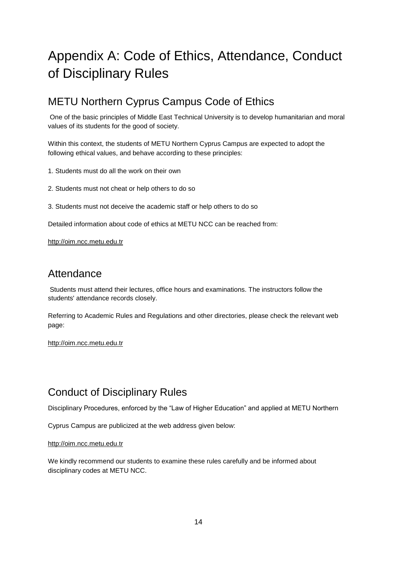# Appendix A: Code of Ethics, Attendance, Conduct of Disciplinary Rules

### <span id="page-14-0"></span>METU Northern Cyprus Campus Code of Ethics

One of the basic principles of Middle East Technical University is to develop humanitarian and moral values of its students for the good of society.

Within this context, the students of METU Northern Cyprus Campus are expected to adopt the following ethical values, and behave according to these principles:

- 1. Students must do all the work on their own
- 2. Students must not cheat or help others to do so
- 3. Students must not deceive the academic staff or help others to do so

Detailed information about code of ethics at METU NCC can be reached from:

[http://oim.ncc.metu.edu.tr](http://oim.ncc.metu.edu.tr/)

### <span id="page-14-1"></span>Attendance

Students must attend their lectures, office hours and examinations. The instructors follow the students' attendance records closely.

Referring to Academic Rules and Regulations and other directories, please check the relevant web page:

<span id="page-14-2"></span>[http://oim.ncc.metu.edu.tr](http://oim.ncc.metu.edu.tr/)

### Conduct of Disciplinary Rules

Disciplinary Procedures, enforced by the "Law of Higher Education" and applied at METU Northern

Cyprus Campus are publicized at the web address given below:

#### [http://oim.ncc.metu.edu.tr](http://oim.ncc.metu.edu.tr/)

We kindly recommend our students to examine these rules carefully and be informed about disciplinary codes at METU NCC.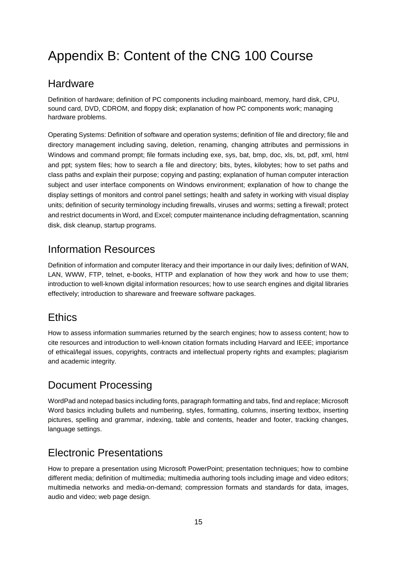# <span id="page-15-0"></span>Appendix B: Content of the CNG 100 Course

### <span id="page-15-1"></span>**Hardware**

Definition of hardware; definition of PC components including mainboard, memory, hard disk, CPU, sound card, DVD, CDROM, and floppy disk; explanation of how PC components work; managing hardware problems.

Operating Systems: Definition of software and operation systems; definition of file and directory; file and directory management including saving, deletion, renaming, changing attributes and permissions in Windows and command prompt; file formats including exe, sys, bat, bmp, doc, xls, txt, pdf, xml, html and ppt; system files; how to search a file and directory; bits, bytes, kilobytes; how to set paths and class paths and explain their purpose; copying and pasting; explanation of human computer interaction subject and user interface components on Windows environment; explanation of how to change the display settings of monitors and control panel settings; health and safety in working with visual display units; definition of security terminology including firewalls, viruses and worms; setting a firewall; protect and restrict documents in Word, and Excel; computer maintenance including defragmentation, scanning disk, disk cleanup, startup programs.

### <span id="page-15-2"></span>Information Resources

Definition of information and computer literacy and their importance in our daily lives; definition of WAN, LAN, WWW, FTP, telnet, e-books, HTTP and explanation of how they work and how to use them; introduction to well-known digital information resources; how to use search engines and digital libraries effectively; introduction to shareware and freeware software packages.

### <span id="page-15-3"></span>**Ethics**

How to assess information summaries returned by the search engines; how to assess content; how to cite resources and introduction to well-known citation formats including Harvard and IEEE; importance of ethical/legal issues, copyrights, contracts and intellectual property rights and examples; plagiarism and academic integrity.

### <span id="page-15-4"></span>Document Processing

WordPad and notepad basics including fonts, paragraph formatting and tabs, find and replace; Microsoft Word basics including bullets and numbering, styles, formatting, columns, inserting textbox, inserting pictures, spelling and grammar, indexing, table and contents, header and footer, tracking changes, language settings.

### <span id="page-15-5"></span>Electronic Presentations

How to prepare a presentation using Microsoft PowerPoint; presentation techniques; how to combine different media; definition of multimedia; multimedia authoring tools including image and video editors; multimedia networks and media-on-demand; compression formats and standards for data, images, audio and video; web page design.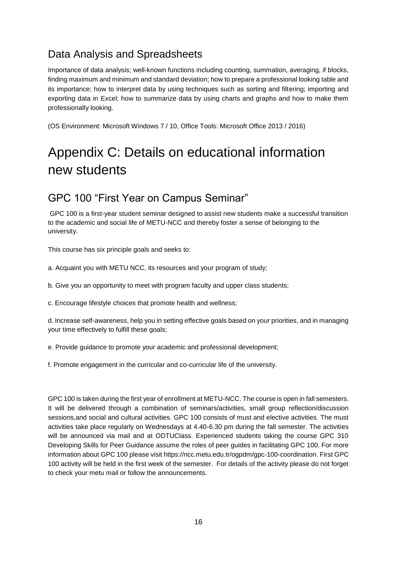### <span id="page-16-0"></span>Data Analysis and Spreadsheets

Importance of data analysis; well-known functions including counting, summation, averaging, if blocks, finding maximum and minimum and standard deviation; how to prepare a professional looking table and its importance; how to interpret data by using techniques such as sorting and filtering; importing and exporting data in Excel; how to summarize data by using charts and graphs and how to make them professionally looking.

<span id="page-16-1"></span>(OS Environment: Microsoft Windows 7 / 10, Office Tools: Microsoft Office 2013 / 2016)

# Appendix C: Details on educational information new students

### <span id="page-16-2"></span>GPC 100 "First Year on Campus Seminar"

GPC 100 is a first-year student seminar designed to assist new students make a successful transition to the academic and social life of METU-NCC and thereby foster a sense of belonging to the university.

This course has six principle goals and seeks to:

a. Acquaint you with METU NCC, its resources and your program of study;

b. Give you an opportunity to meet with program faculty and upper class students;

c. Encourage lifestyle choices that promote health and wellness;

d. Increase self-awareness, help you in setting effective goals based on your priorities, and in managing your time effectively to fulfill these goals;

e. Provide guidance to promote your academic and professional development;

f. Promote engagement in the curricular and co-curricular life of the university.

GPC 100 is taken during the first year of enrollment at METU-NCC. The course is open in fall semesters. It will be delivered through a combination of seminars/activities, small group reflection/discussion sessions,and social and cultural activities. GPC 100 consists of must and elective activities. The must activities take place regularly on Wednesdays at 4.40-6.30 pm during the fall semester. The activities will be announced via mail and at ODTUClass. Experienced students taking the course GPC 310 Developing Skills for Peer Guidance assume the roles of peer guides in facilitating GPC 100. For more information about GPC 100 please visit [https://ncc.metu.edu.tr/ogpdm/gpc-100-coordination.](https://ncc.metu.edu.tr/ogpdm/gpc-100-coordination) First GPC 100 activity will be held in the first week of the semester. For details of the activity please do not forget to check your metu mail or follow the announcements.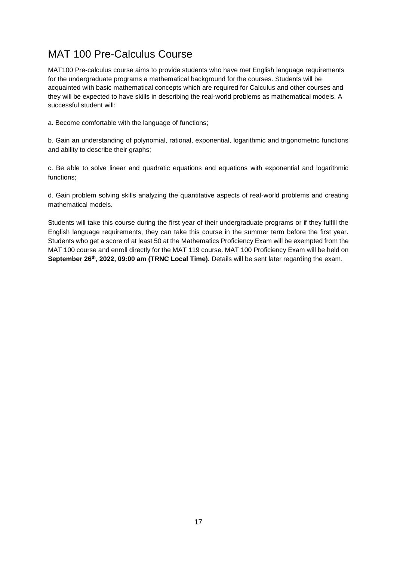### <span id="page-17-0"></span>MAT 100 Pre-Calculus Course

MAT100 Pre-calculus course aims to provide students who have met English language requirements for the undergraduate programs a mathematical background for the courses. Students will be acquainted with basic mathematical concepts which are required for Calculus and other courses and they will be expected to have skills in describing the real-world problems as mathematical models. A successful student will:

a. Become comfortable with the language of functions;

b. Gain an understanding of polynomial, rational, exponential, logarithmic and trigonometric functions and ability to describe their graphs;

c. Be able to solve linear and quadratic equations and equations with exponential and logarithmic functions;

d. Gain problem solving skills analyzing the quantitative aspects of real-world problems and creating mathematical models.

Students will take this course during the first year of their undergraduate programs or if they fulfill the English language requirements, they can take this course in the summer term before the first year. Students who get a score of at least 50 at the Mathematics Proficiency Exam will be exempted from the MAT 100 course and enroll directly for the MAT 119 course. MAT 100 Proficiency Exam will be held on **September 26th, 2022, 09:00 am (TRNC Local Time).** Details will be sent later regarding the exam.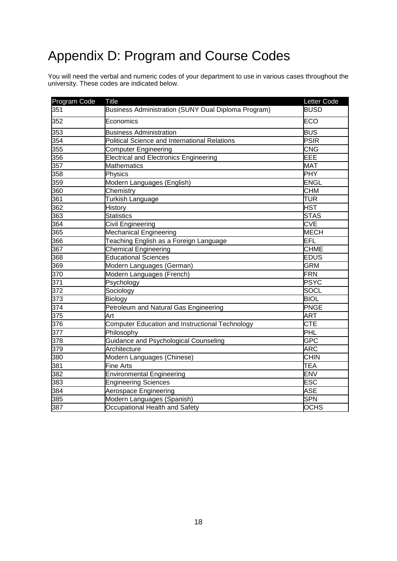# <span id="page-18-0"></span>Appendix D: Program and Course Codes

You will need the verbal and numeric codes of your department to use in various cases throughout the university. These codes are indicated below.

| Program Code     | <b>Title</b>                                           | Letter Code |
|------------------|--------------------------------------------------------|-------------|
| 351              | Business Administration (SUNY Dual Diploma Program)    | <b>BUSD</b> |
| 352              | Economics                                              | ECO         |
| 353              | <b>Business Administration</b>                         | <b>BUS</b>  |
| 354              | Political Science and International Relations          | <b>PSIR</b> |
| $\overline{355}$ | <b>Computer Engineering</b>                            | <b>CNG</b>  |
| 356              | <b>Electrical and Electronics Engineering</b>          | EEE         |
| 357              | <b>Mathematics</b>                                     | <b>MAT</b>  |
| 358              | Physics                                                | <b>PHY</b>  |
| 359              | Modern Languages (English)                             | ENGL        |
| 360              | Chemistry                                              | <b>CHM</b>  |
| 361              | <b>Turkish Language</b>                                | TUR         |
| 362              | <b>History</b>                                         | HST         |
| 363              | <b>Statistics</b>                                      | <b>STAS</b> |
| 364              | Civil Engineering                                      | CVE         |
| 365              | <b>Mechanical Engineering</b>                          | <b>MECH</b> |
| 366              | Teaching English as a Foreign Language                 | EFL         |
| 367              | Chemical Engineering                                   | <b>CHME</b> |
| 368              | <b>Educational Sciences</b>                            | <b>EDUS</b> |
| 369              | Modern Languages (German)                              | <b>GRM</b>  |
| 370              | Modern Languages (French)                              | <b>FRN</b>  |
| 371              | Psychology                                             | <b>PSYC</b> |
| 372              | Sociology                                              | SOCL        |
| 373              | Biology                                                | <b>BIOL</b> |
| 374              | Petroleum and Natural Gas Engineering                  | <b>PNGE</b> |
| 375              | Art                                                    | <b>ART</b>  |
| 376              | <b>Computer Education and Instructional Technology</b> | <b>CTE</b>  |
| 377              | Philosophy                                             | PHL         |
| 378              | Guidance and Psychological Counseling                  | <b>GPC</b>  |
| 379              | Architecture                                           | ARC         |
| 380              | Modern Languages (Chinese)                             | <b>CHIN</b> |
| 381              | Fine Arts                                              | <b>TEA</b>  |
| 382              | <b>Environmental Engineering</b>                       | ENV         |
| 383              | <b>Engineering Sciences</b>                            | <b>ESC</b>  |
| 384              | Aerospace Engineering                                  | <b>ASE</b>  |
| 385              | Modern Languages (Spanish)                             | <b>SPN</b>  |
| 387              | Occupational Health and Safety                         | <b>OCHS</b> |